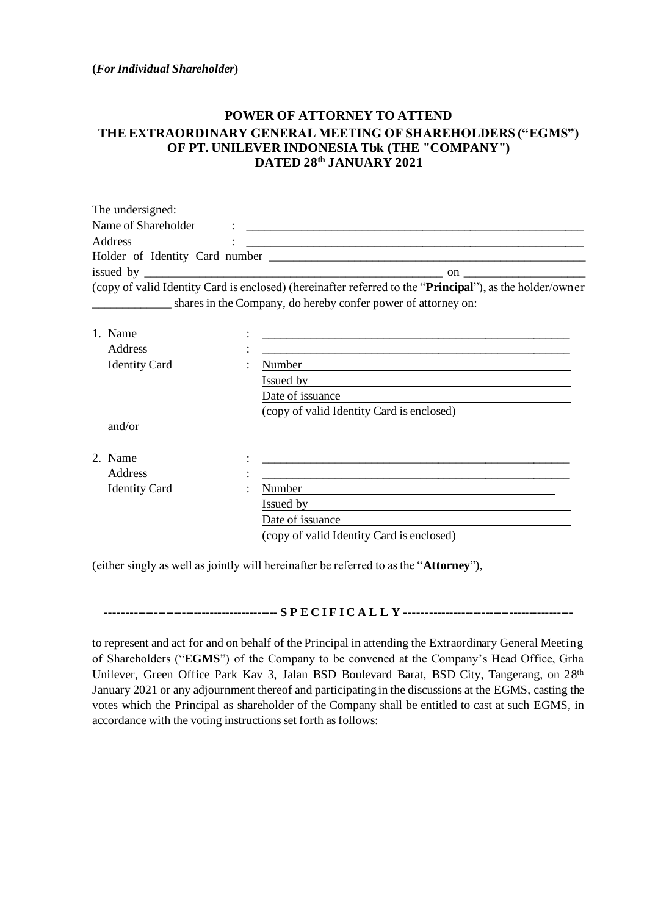**(***For Individual Shareholder***)**

## **POWER OF ATTORNEY TO ATTEND THE EXTRAORDINARY GENERAL MEETING OF SHAREHOLDERS ("EGMS") OF PT. UNILEVER INDONESIA Tbk (THE "COMPANY") DATED 28 th JANUARY 2021**

| The undersigned:                    |                                                               |                                                                                                                   |
|-------------------------------------|---------------------------------------------------------------|-------------------------------------------------------------------------------------------------------------------|
| Name of Shareholder                 |                                                               |                                                                                                                   |
| Address                             |                                                               |                                                                                                                   |
|                                     |                                                               |                                                                                                                   |
|                                     |                                                               | $\mathbf{on}$                                                                                                     |
|                                     | shares in the Company, do hereby confer power of attorney on: | (copy of valid Identity Card is enclosed) (hereinafter referred to the " <b>Principal</b> "), as the holder/owner |
|                                     |                                                               |                                                                                                                   |
|                                     |                                                               |                                                                                                                   |
|                                     |                                                               |                                                                                                                   |
| 1. Name<br>Address<br>Identity Card | Number                                                        |                                                                                                                   |

| <b>Identity Card</b> | ٠              | Number                                    |
|----------------------|----------------|-------------------------------------------|
|                      |                | Issued by                                 |
|                      |                | Date of issuance                          |
|                      |                | (copy of valid Identity Card is enclosed) |
| and/or               |                |                                           |
| 2. Name              | ٠<br>$\bullet$ |                                           |
| <b>Address</b>       | ٠<br>$\bullet$ |                                           |
| <b>Identity Card</b> | ٠              | Number                                    |
|                      |                | Issued by                                 |
|                      |                | Date of issuance                          |
|                      |                | (copy of valid Identity Card is enclosed) |

(either singly as well as jointly will hereinafter be referred to as the "**Attorney**"),

**------------------------------------------- S P E C I F I C A L L Y ------------------------------------------**

to represent and act for and on behalf of the Principal in attending the Extraordinary General Meeting of Shareholders ("**EGMS**") of the Company to be convened at the Company's Head Office, Grha Unilever, Green Office Park Kav 3, Jalan BSD Boulevard Barat, BSD City, Tangerang, on 28<sup>th</sup> January 2021 or any adjournment thereof and participating in the discussions at the EGMS, casting the votes which the Principal as shareholder of the Company shall be entitled to cast at such EGMS, in accordance with the voting instructions set forth as follows: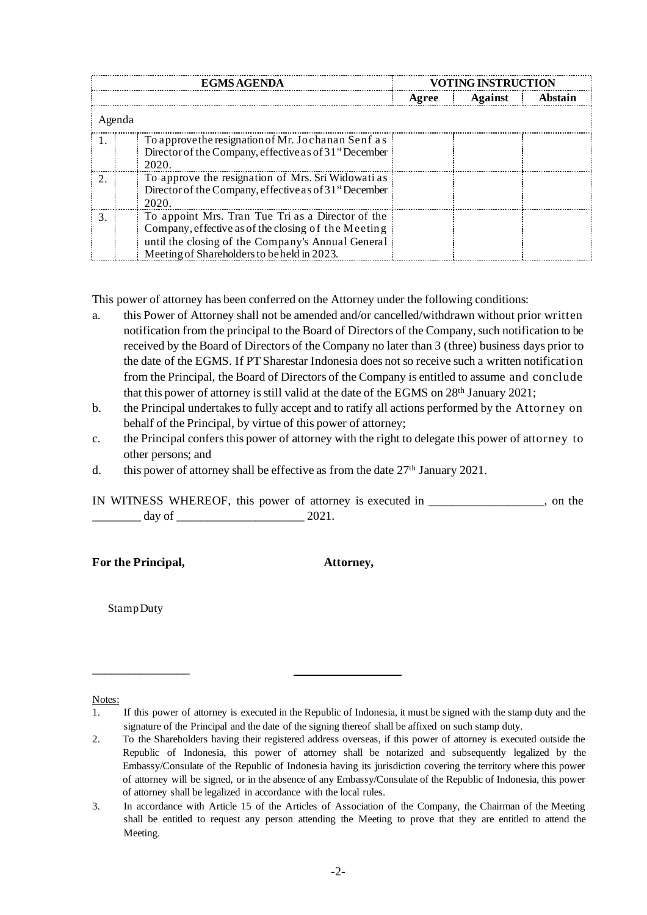|        | <b>EGMS AGENDA</b>                                                                                                                                                                                           | <b>VOTING INSTRUCTION</b> |         |         |  |  |  |  |  |  |
|--------|--------------------------------------------------------------------------------------------------------------------------------------------------------------------------------------------------------------|---------------------------|---------|---------|--|--|--|--|--|--|
|        |                                                                                                                                                                                                              | Agree                     | Against | Abstain |  |  |  |  |  |  |
| Agenda |                                                                                                                                                                                                              |                           |         |         |  |  |  |  |  |  |
|        | To approve the resignation of Mr. Jochanan Senf as<br>Director of the Company, effective as of 31 <sup>st</sup> December<br>2020.                                                                            |                           |         |         |  |  |  |  |  |  |
|        | To approve the resignation of Mrs. Sri Widowati as<br>Director of the Company, effective as of 31 <sup>st</sup> December<br>2020                                                                             |                           |         |         |  |  |  |  |  |  |
|        | To appoint Mrs. Tran Tue Tri as a Director of the<br>Company, effective as of the closing of the Meeting<br>until the closing of the Company's Annual General<br>Meeting of Shareholders to be held in 2023. |                           |         |         |  |  |  |  |  |  |

This power of attorney has been conferred on the Attorney under the following conditions:

- a. this Power of Attorney shall not be amended and/or cancelled/withdrawn without prior written notification from the principal to the Board of Directors of the Company, such notification to be received by the Board of Directors of the Company no later than 3 (three) business days prior to the date of the EGMS. If PT Sharestar Indonesia does not so receive such a written notification from the Principal, the Board of Directors of the Company is entitled to assume and conclude that this power of attorney is still valid at the date of the EGMS on 28<sup>th</sup> January 2021;
- b. the Principal undertakes to fully accept and to ratify all actions performed by the Attorney on behalf of the Principal, by virtue of this power of attorney;
- c. the Principal confers this power of attorney with the right to delegate this power of attorney to other persons; and
- d. this power of attorney shall be effective as from the date 27<sup>th</sup> January 2021.

IN WITNESS WHEREOF, this power of attorney is executed in \_\_\_\_\_\_\_\_\_\_\_\_\_\_\_\_\_\_\_, on the  $\frac{day}{x}$  of  $\frac{2021}{x}$ 

**For the Principal, Attorney,**

Stamp Duty

\_\_\_\_\_\_\_\_\_\_\_\_\_\_\_\_

## Notes:

<sup>1.</sup> If this power of attorney is executed in the Republic of Indonesia, it must be signed with the stamp duty and the signature of the Principal and the date of the signing thereof shall be affixed on such stamp duty.

<sup>2.</sup> To the Shareholders having their registered address overseas, if this power of attorney is executed outside the Republic of Indonesia, this power of attorney shall be notarized and subsequently legalized by the Embassy/Consulate of the Republic of Indonesia having its jurisdiction covering the territory where this power of attorney will be signed, or in the absence of any Embassy/Consulate of the Republic of Indonesia, this power of attorney shall be legalized in accordance with the local rules.

<sup>3.</sup> In accordance with Article 15 of the Articles of Association of the Company, the Chairman of the Meeting shall be entitled to request any person attending the Meeting to prove that they are entitled to attend the Meeting.